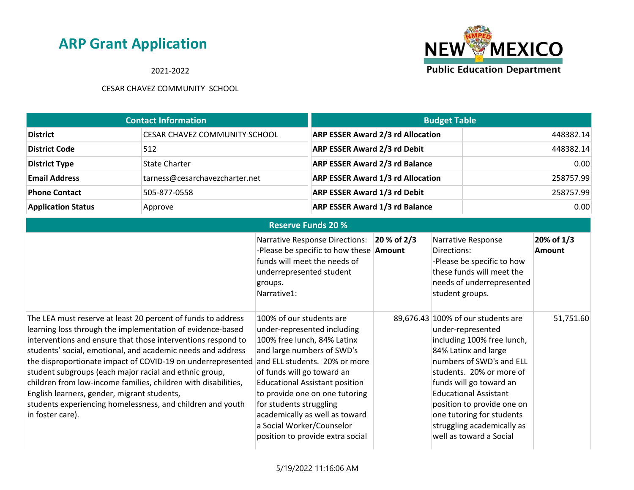2021-2022



| <b>Contact Information</b> |                                      | <b>Budget Table</b>                      |           |
|----------------------------|--------------------------------------|------------------------------------------|-----------|
| <b>District</b>            | <b>CESAR CHAVEZ COMMUNITY SCHOOL</b> | <b>ARP ESSER Award 2/3 rd Allocation</b> | 448382.14 |
| <b>District Code</b>       | 512                                  | <b>ARP ESSER Award 2/3 rd Debit</b>      | 448382.14 |
| <b>District Type</b>       | State Charter                        | <b>ARP ESSER Award 2/3 rd Balance</b>    | 0.00      |
| <b>Email Address</b>       | tarness@cesarchavezcharter.net       | <b>ARP ESSER Award 1/3 rd Allocation</b> | 258757.99 |
| <b>Phone Contact</b>       | 505-877-0558                         | <b>ARP ESSER Award 1/3 rd Debit</b>      | 258757.99 |
| <b>Application Status</b>  | Approve                              | <b>ARP ESSER Award 1/3 rd Balance</b>    | 0.00      |

| <b>Reserve Funds 20 %</b>                                                                                                                                                                                                                                                                                                                                                                                                                                                                                                                                                             |                                                                                                                                                                                                                                                                                                                                                                                              |             |                                                                                                                                                                                                                                                                                                                                                      |                             |  |
|---------------------------------------------------------------------------------------------------------------------------------------------------------------------------------------------------------------------------------------------------------------------------------------------------------------------------------------------------------------------------------------------------------------------------------------------------------------------------------------------------------------------------------------------------------------------------------------|----------------------------------------------------------------------------------------------------------------------------------------------------------------------------------------------------------------------------------------------------------------------------------------------------------------------------------------------------------------------------------------------|-------------|------------------------------------------------------------------------------------------------------------------------------------------------------------------------------------------------------------------------------------------------------------------------------------------------------------------------------------------------------|-----------------------------|--|
|                                                                                                                                                                                                                                                                                                                                                                                                                                                                                                                                                                                       | <b>Narrative Response Directions:</b><br>-Please be specific to how these <b>Amount</b><br>funds will meet the needs of<br>underrepresented student<br>groups.<br>Narrative1:                                                                                                                                                                                                                | 20 % of 2/3 | Narrative Response<br>Directions:<br>-Please be specific to how<br>these funds will meet the<br>needs of underrepresented<br>student groups.                                                                                                                                                                                                         | 20% of 1/3<br><b>Amount</b> |  |
| The LEA must reserve at least 20 percent of funds to address<br>learning loss through the implementation of evidence-based<br>interventions and ensure that those interventions respond to<br>students' social, emotional, and academic needs and address<br>the disproportionate impact of COVID-19 on underrepresented<br>student subgroups (each major racial and ethnic group,<br>children from low-income families, children with disabilities,<br>English learners, gender, migrant students,<br>students experiencing homelessness, and children and youth<br>in foster care). | 100% of our students are<br>under-represented including<br>100% free lunch, 84% Latinx<br>and large numbers of SWD's<br>and ELL students. 20% or more<br>of funds will go toward an<br><b>Educational Assistant position</b><br>to provide one on one tutoring<br>for students struggling<br>academically as well as toward<br>a Social Worker/Counselor<br>position to provide extra social |             | 89,676.43 100% of our students are<br>under-represented<br>including 100% free lunch,<br>84% Latinx and large<br>numbers of SWD's and ELL<br>students. 20% or more of<br>funds will go toward an<br><b>Educational Assistant</b><br>position to provide one on<br>one tutoring for students<br>struggling academically as<br>well as toward a Social | 51,751.60                   |  |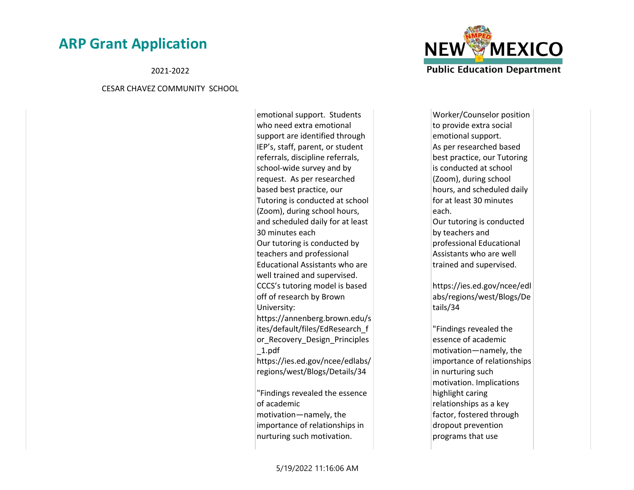2021-2022

#### CESAR CHAVEZ COMMUNITY SCHOOL

emotional support. Students who need extra emotional support are identified through IEP's, staff, parent, or student referrals, discipline referrals, school-wide survey and by request. As per researched based best practice, our Tutoring is conducted at school (Zoom), during school hours, and scheduled daily for at least 30 minutes each Our tutoring is conducted by teachers and professional Educational Assistants who are well trained and supervised. CCCS's tutoring model is based off of research by Brown University: https://annenberg.brown.edu/s ites/default/files/EdResearch\_f or\_Recovery\_Design\_Principles \_1.pdf https://ies.ed.gov/ncee/edlabs/ regions/west/Blogs/Details/34 "Findings revealed the essence of academic

motivation—namely, the importance of relationships in nurturing such motivation.



Worker/Counselor position to provide extra social emotional support. As per researched based best practice, our Tutoring is conducted at school (Zoom), during school hours, and scheduled daily for at least 30 minutes each. Our tutoring is conducted by teachers and professional Educational Assistants who are well trained and supervised. https://ies.ed.gov/ncee/edl

abs/regions/west/Blogs/De tails/34

"Findings revealed the essence of academic motivation—namely, the importance of relationships in nurturing such motivation. Implications highlight caring relationships as a key factor, fostered through dropout prevention programs that use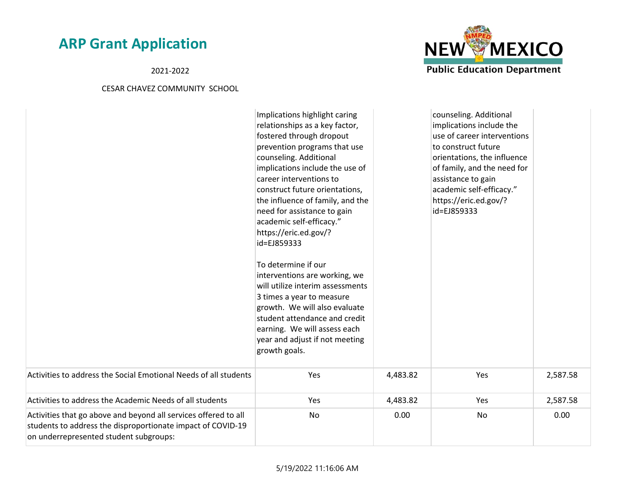2021-2022

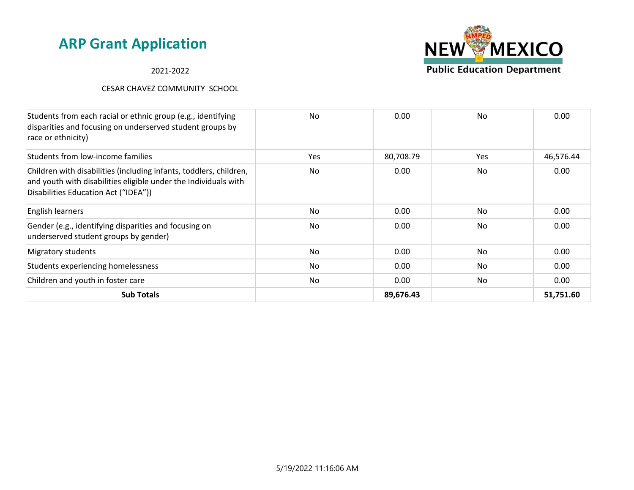#### 2021-2022



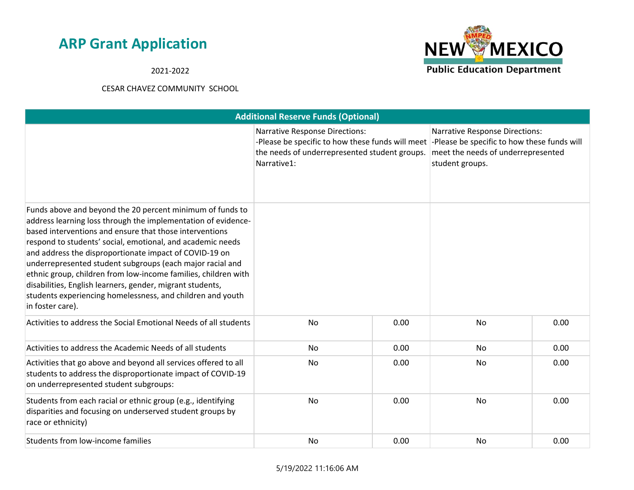2021-2022



| <b>Additional Reserve Funds (Optional)</b>                                                                                                                                                                                                                                                                                                                                                                                                                                                                                                                                                  |                                                                                                                                                                                                       |      |                                                                                                |      |
|---------------------------------------------------------------------------------------------------------------------------------------------------------------------------------------------------------------------------------------------------------------------------------------------------------------------------------------------------------------------------------------------------------------------------------------------------------------------------------------------------------------------------------------------------------------------------------------------|-------------------------------------------------------------------------------------------------------------------------------------------------------------------------------------------------------|------|------------------------------------------------------------------------------------------------|------|
|                                                                                                                                                                                                                                                                                                                                                                                                                                                                                                                                                                                             | <b>Narrative Response Directions:</b><br>-Please be specific to how these funds will meet -Please be specific to how these funds will<br>the needs of underrepresented student groups.<br>Narrative1: |      | <b>Narrative Response Directions:</b><br>meet the needs of underrepresented<br>student groups. |      |
| Funds above and beyond the 20 percent minimum of funds to<br>address learning loss through the implementation of evidence-<br>based interventions and ensure that those interventions<br>respond to students' social, emotional, and academic needs<br>and address the disproportionate impact of COVID-19 on<br>underrepresented student subgroups (each major racial and<br>ethnic group, children from low-income families, children with<br>disabilities, English learners, gender, migrant students,<br>students experiencing homelessness, and children and youth<br>in foster care). |                                                                                                                                                                                                       |      |                                                                                                |      |
| Activities to address the Social Emotional Needs of all students                                                                                                                                                                                                                                                                                                                                                                                                                                                                                                                            | <b>No</b>                                                                                                                                                                                             | 0.00 | <b>No</b>                                                                                      | 0.00 |
| Activities to address the Academic Needs of all students                                                                                                                                                                                                                                                                                                                                                                                                                                                                                                                                    | No                                                                                                                                                                                                    | 0.00 | No                                                                                             | 0.00 |
| Activities that go above and beyond all services offered to all<br>students to address the disproportionate impact of COVID-19<br>on underrepresented student subgroups:                                                                                                                                                                                                                                                                                                                                                                                                                    | <b>No</b>                                                                                                                                                                                             | 0.00 | <b>No</b>                                                                                      | 0.00 |
| Students from each racial or ethnic group (e.g., identifying<br>disparities and focusing on underserved student groups by<br>race or ethnicity)                                                                                                                                                                                                                                                                                                                                                                                                                                             | No                                                                                                                                                                                                    | 0.00 | No                                                                                             | 0.00 |
| Students from low-income families                                                                                                                                                                                                                                                                                                                                                                                                                                                                                                                                                           | No                                                                                                                                                                                                    | 0.00 | No                                                                                             | 0.00 |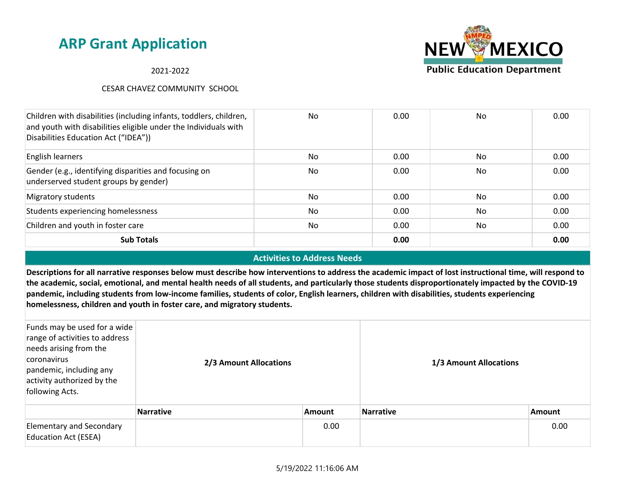2021-2022

### CESAR CHAVEZ COMMUNITY SCHOOL



#### **Activities to Address Needs**

**Descriptions for all narrative responses below must describe how interventions to address the academic impact of lost instructional time, will respond to the academic, social, emotional, and mental health needs of all students, and particularly those students disproportionately impacted by the COVID-19 pandemic, including students from low-income families, students of color, English learners, children with disabilities, students experiencing homelessness, children and youth in foster care, and migratory students.**

| Funds may be used for a wide<br>range of activities to address<br>needs arising from the<br>coronavirus<br>pandemic, including any<br>activity authorized by the<br>following Acts. | 2/3 Amount Allocations |               | 1/3 Amount Allocations |               |
|-------------------------------------------------------------------------------------------------------------------------------------------------------------------------------------|------------------------|---------------|------------------------|---------------|
|                                                                                                                                                                                     | <b>Narrative</b>       | <b>Amount</b> | <b>Narrative</b>       | <b>Amount</b> |
| <b>Elementary and Secondary</b><br><b>Education Act (ESEA)</b>                                                                                                                      |                        | 0.00          |                        | 0.00          |

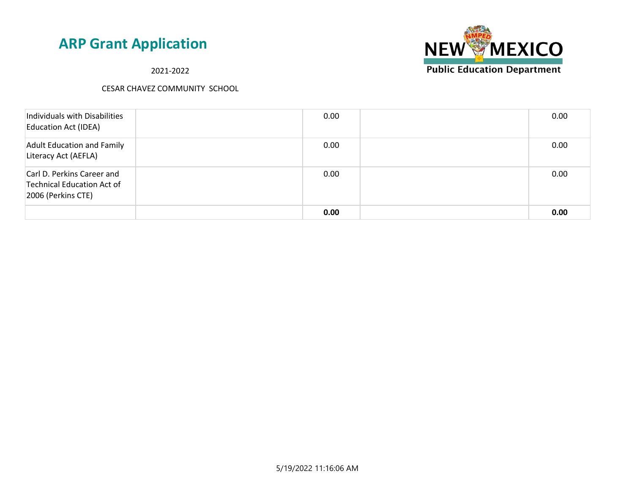2021-2022



| Individuals with Disabilities<br><b>Education Act (IDEA)</b>                   | 0.00 | 0.00 |
|--------------------------------------------------------------------------------|------|------|
| <b>Adult Education and Family</b><br>Literacy Act (AEFLA)                      | 0.00 | 0.00 |
| Carl D. Perkins Career and<br>Technical Education Act of<br>2006 (Perkins CTE) | 0.00 | 0.00 |
|                                                                                | 0.00 | 0.00 |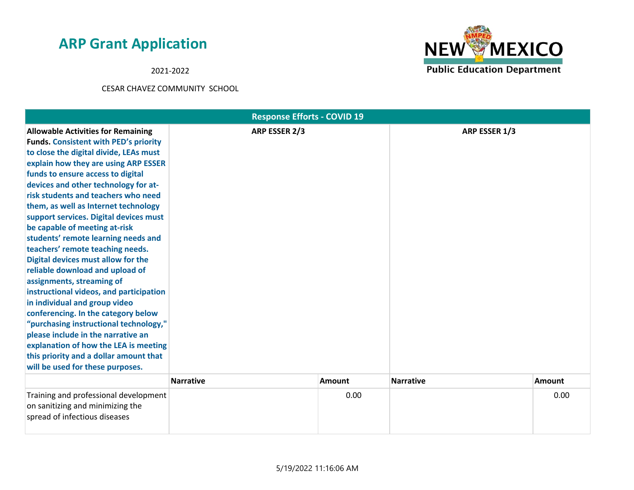2021-2022



| <b>Response Efforts - COVID 19</b>                                                                                                                                                                                                                                                                                                                                                                                                                                                                                                                                                                                                                                                                                                                                                                                                                                                                                            |                  |               |                  |               |  |
|-------------------------------------------------------------------------------------------------------------------------------------------------------------------------------------------------------------------------------------------------------------------------------------------------------------------------------------------------------------------------------------------------------------------------------------------------------------------------------------------------------------------------------------------------------------------------------------------------------------------------------------------------------------------------------------------------------------------------------------------------------------------------------------------------------------------------------------------------------------------------------------------------------------------------------|------------------|---------------|------------------|---------------|--|
| <b>Allowable Activities for Remaining</b><br><b>Funds. Consistent with PED's priority</b><br>to close the digital divide, LEAs must<br>explain how they are using ARP ESSER<br>funds to ensure access to digital<br>devices and other technology for at-<br>risk students and teachers who need<br>them, as well as Internet technology<br>support services. Digital devices must<br>be capable of meeting at-risk<br>students' remote learning needs and<br>teachers' remote teaching needs.<br>Digital devices must allow for the<br>reliable download and upload of<br>assignments, streaming of<br>instructional videos, and participation<br>in individual and group video<br>conferencing. In the category below<br>"purchasing instructional technology,"<br>please include in the narrative an<br>explanation of how the LEA is meeting<br>this priority and a dollar amount that<br>will be used for these purposes. | ARP ESSER 2/3    |               | ARP ESSER 1/3    |               |  |
|                                                                                                                                                                                                                                                                                                                                                                                                                                                                                                                                                                                                                                                                                                                                                                                                                                                                                                                               | <b>Narrative</b> | <b>Amount</b> | <b>Narrative</b> | <b>Amount</b> |  |
| Training and professional development<br>on sanitizing and minimizing the<br>spread of infectious diseases                                                                                                                                                                                                                                                                                                                                                                                                                                                                                                                                                                                                                                                                                                                                                                                                                    |                  | 0.00          |                  | 0.00          |  |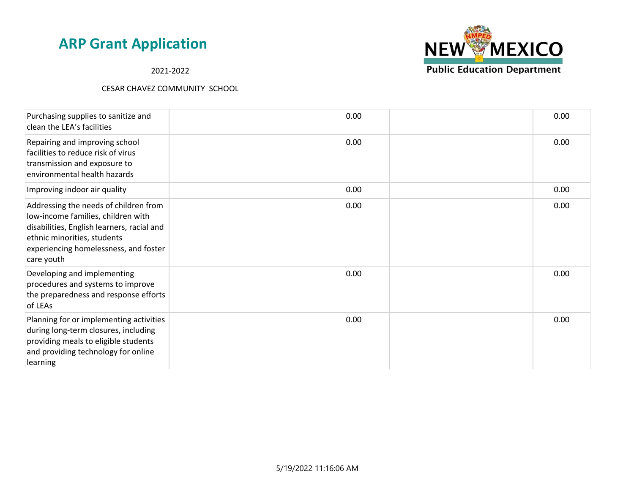2021-2022



| Purchasing supplies to sanitize and<br>clean the LEA's facilities                                                                                                                                               | 0.00 | 0.00 |
|-----------------------------------------------------------------------------------------------------------------------------------------------------------------------------------------------------------------|------|------|
| Repairing and improving school<br>facilities to reduce risk of virus<br>transmission and exposure to<br>environmental health hazards                                                                            | 0.00 | 0.00 |
| Improving indoor air quality                                                                                                                                                                                    | 0.00 | 0.00 |
| Addressing the needs of children from<br>low-income families, children with<br>disabilities, English learners, racial and<br>ethnic minorities, students<br>experiencing homelessness, and foster<br>care youth | 0.00 | 0.00 |
| Developing and implementing<br>procedures and systems to improve<br>the preparedness and response efforts<br>of LEAs                                                                                            | 0.00 | 0.00 |
| Planning for or implementing activities<br>during long-term closures, including<br>providing meals to eligible students<br>and providing technology for online<br>learning                                      | 0.00 | 0.00 |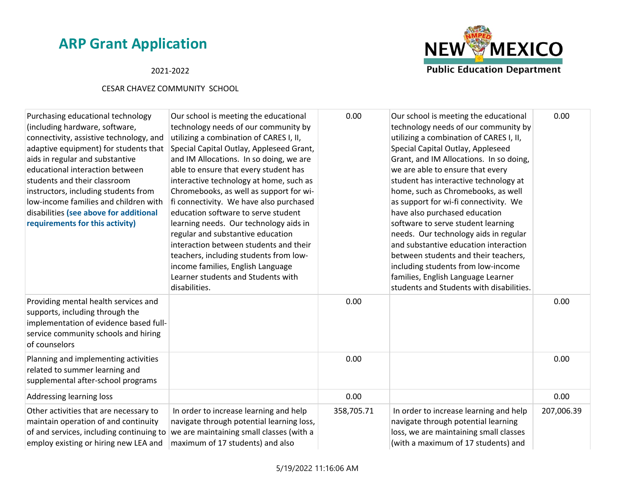### 2021-2022



| Purchasing educational technology<br>(including hardware, software,<br>connectivity, assistive technology, and<br>adaptive equipment) for students that<br>aids in regular and substantive<br>educational interaction between<br>students and their classroom<br>instructors, including students from<br>low-income families and children with<br>disabilities (see above for additional<br>requirements for this activity) | Our school is meeting the educational<br>technology needs of our community by<br>utilizing a combination of CARES I, II,<br>Special Capital Outlay, Appleseed Grant,<br>and IM Allocations. In so doing, we are<br>able to ensure that every student has<br>interactive technology at home, such as<br>Chromebooks, as well as support for wi-<br>fi connectivity. We have also purchased<br>education software to serve student<br>learning needs. Our technology aids in<br>regular and substantive education<br>interaction between students and their<br>teachers, including students from low-<br>income families, English Language<br>Learner students and Students with<br>disabilities. | 0.00       | Our school is meeting the educational<br>technology needs of our community by<br>utilizing a combination of CARES I, II,<br>Special Capital Outlay, Appleseed<br>Grant, and IM Allocations. In so doing,<br>we are able to ensure that every<br>student has interactive technology at<br>home, such as Chromebooks, as well<br>as support for wi-fi connectivity. We<br>have also purchased education<br>software to serve student learning<br>needs. Our technology aids in regular<br>and substantive education interaction<br>between students and their teachers,<br>including students from low-income<br>families, English Language Learner<br>students and Students with disabilities. | 0.00       |
|-----------------------------------------------------------------------------------------------------------------------------------------------------------------------------------------------------------------------------------------------------------------------------------------------------------------------------------------------------------------------------------------------------------------------------|-------------------------------------------------------------------------------------------------------------------------------------------------------------------------------------------------------------------------------------------------------------------------------------------------------------------------------------------------------------------------------------------------------------------------------------------------------------------------------------------------------------------------------------------------------------------------------------------------------------------------------------------------------------------------------------------------|------------|-----------------------------------------------------------------------------------------------------------------------------------------------------------------------------------------------------------------------------------------------------------------------------------------------------------------------------------------------------------------------------------------------------------------------------------------------------------------------------------------------------------------------------------------------------------------------------------------------------------------------------------------------------------------------------------------------|------------|
| Providing mental health services and<br>supports, including through the<br>implementation of evidence based full-<br>service community schools and hiring<br>of counselors                                                                                                                                                                                                                                                  |                                                                                                                                                                                                                                                                                                                                                                                                                                                                                                                                                                                                                                                                                                 | 0.00       |                                                                                                                                                                                                                                                                                                                                                                                                                                                                                                                                                                                                                                                                                               | 0.00       |
| Planning and implementing activities<br>related to summer learning and<br>supplemental after-school programs                                                                                                                                                                                                                                                                                                                |                                                                                                                                                                                                                                                                                                                                                                                                                                                                                                                                                                                                                                                                                                 | 0.00       |                                                                                                                                                                                                                                                                                                                                                                                                                                                                                                                                                                                                                                                                                               | 0.00       |
| <b>Addressing learning loss</b>                                                                                                                                                                                                                                                                                                                                                                                             |                                                                                                                                                                                                                                                                                                                                                                                                                                                                                                                                                                                                                                                                                                 | 0.00       |                                                                                                                                                                                                                                                                                                                                                                                                                                                                                                                                                                                                                                                                                               | 0.00       |
| Other activities that are necessary to<br>maintain operation of and continuity<br>of and services, including continuing to<br>employ existing or hiring new LEA and                                                                                                                                                                                                                                                         | In order to increase learning and help<br>navigate through potential learning loss,<br>we are maintaining small classes (with a<br>maximum of 17 students) and also                                                                                                                                                                                                                                                                                                                                                                                                                                                                                                                             | 358,705.71 | In order to increase learning and help<br>navigate through potential learning<br>loss, we are maintaining small classes<br>(with a maximum of 17 students) and                                                                                                                                                                                                                                                                                                                                                                                                                                                                                                                                | 207,006.39 |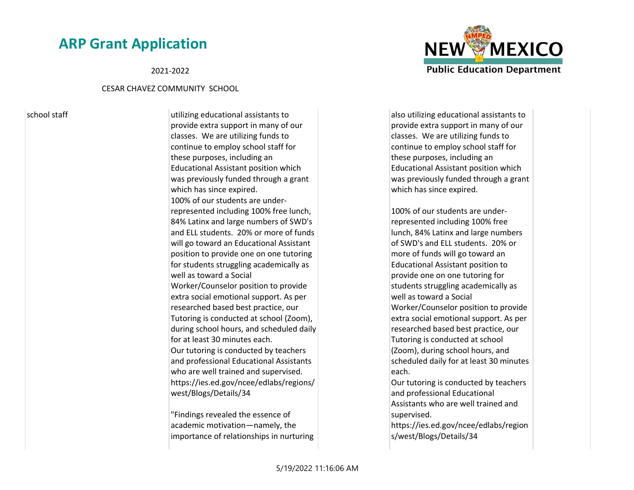#### 2021-2022

#### CESAR CHAVEZ COMMUNITY SCHOOL

school staff school staff utilizing educational assistants to provide extra support in many of our classes. We are utilizing funds to continue to employ school staff for these purposes, including an Educational Assistant position which was previously funded through a grant which has since expired. 100% of our students are underrepresented including 100% free lunch, 84% Latinx and large numbers of SWD's and ELL students. 20% or more of funds will go toward an Educational Assistant position to provide one on one tutoring for students struggling academically as well as toward a Social Worker/Counselor position to provide extra social emotional support. As per researched based best practice, our Tutoring is conducted at school (Zoom), during school hours, and scheduled daily for at least 30 minutes each. Our tutoring is conducted by teachers and professional Educational Assistants who are well trained and supervised. https://ies.ed.gov/ncee/edlabs/regions/ west/Blogs/Details/34

> "Findings revealed the essence of academic motivation—namely, the importance of relationships in nurturing

also utilizing educational assistants to provide extra support in many of our classes. We are utilizing funds to continue to employ school staff for these purposes, including an Educational Assistant position which was previously funded through a grant which has since expired.

100% of our students are underrepresented including 100% free lunch, 84% Latinx and large numbers of SWD's and ELL students. 20% or more of funds will go toward an Educational Assistant position to provide one on one tutoring for students struggling academically as well as toward a Social Worker/Counselor position to provide extra social emotional support. As per researched based best practice, our Tutoring is conducted at school (Zoom), during school hours, and scheduled daily for at least 30 minutes each.

Our tutoring is conducted by teachers and professional Educational Assistants who are well trained and supervised.

https://ies.ed.gov/ncee/edlabs/region s/west/Blogs/Details/34

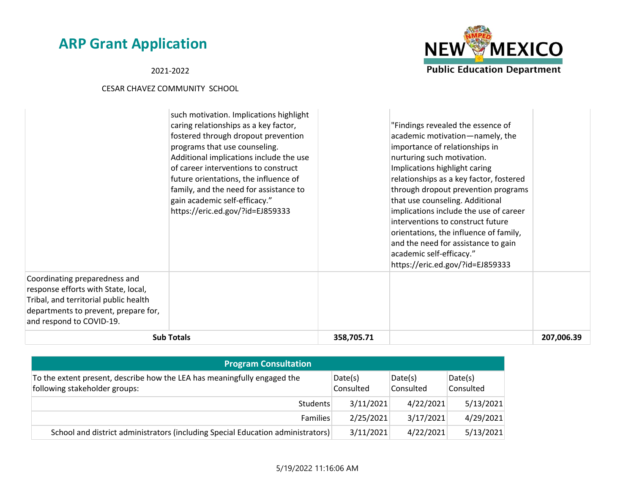**NEW MEXICO Public Education Department** 

2021-2022

|                                                                                                                                                                                   | such motivation. Implications highlight<br>caring relationships as a key factor,<br>fostered through dropout prevention<br>programs that use counseling.<br>Additional implications include the use<br>of career interventions to construct<br>future orientations, the influence of<br>family, and the need for assistance to<br>gain academic self-efficacy."<br>https://eric.ed.gov/?id=EJ859333 |            | "Findings revealed the essence of<br>academic motivation-namely, the<br>importance of relationships in<br>nurturing such motivation.<br>Implications highlight caring<br>relationships as a key factor, fostered<br>through dropout prevention programs<br>that use counseling. Additional<br>implications include the use of career<br>interventions to construct future<br>orientations, the influence of family,<br>and the need for assistance to gain<br>academic self-efficacy."<br>https://eric.ed.gov/?id=EJ859333 |            |
|-----------------------------------------------------------------------------------------------------------------------------------------------------------------------------------|-----------------------------------------------------------------------------------------------------------------------------------------------------------------------------------------------------------------------------------------------------------------------------------------------------------------------------------------------------------------------------------------------------|------------|----------------------------------------------------------------------------------------------------------------------------------------------------------------------------------------------------------------------------------------------------------------------------------------------------------------------------------------------------------------------------------------------------------------------------------------------------------------------------------------------------------------------------|------------|
| Coordinating preparedness and<br>response efforts with State, local,<br>Tribal, and territorial public health<br>departments to prevent, prepare for,<br>and respond to COVID-19. |                                                                                                                                                                                                                                                                                                                                                                                                     |            |                                                                                                                                                                                                                                                                                                                                                                                                                                                                                                                            |            |
|                                                                                                                                                                                   | <b>Sub Totals</b>                                                                                                                                                                                                                                                                                                                                                                                   | 358,705.71 |                                                                                                                                                                                                                                                                                                                                                                                                                                                                                                                            | 207,006.39 |

| <b>Program Consultation</b>                                                                               |                      |                      |                      |  |  |
|-----------------------------------------------------------------------------------------------------------|----------------------|----------------------|----------------------|--|--|
| To the extent present, describe how the LEA has meaningfully engaged the<br>following stakeholder groups: | Date(s)<br>Consulted | Date(s)<br>Consulted | Date(s)<br>Consulted |  |  |
| Students                                                                                                  | 3/11/2021            | 4/22/2021            | 5/13/2021            |  |  |
| <b>Families</b>                                                                                           | 2/25/2021            | 3/17/2021            | 4/29/2021            |  |  |
| School and district administrators (including Special Education administrators)                           | 3/11/2021            | 4/22/2021            | 5/13/2021            |  |  |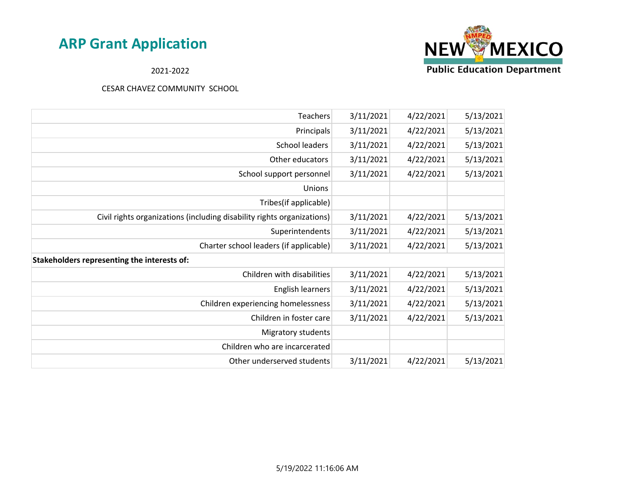

### 2021-2022

| Teachers                                                               | 3/11/2021 | 4/22/2021 | 5/13/2021 |
|------------------------------------------------------------------------|-----------|-----------|-----------|
| Principals                                                             | 3/11/2021 | 4/22/2021 | 5/13/2021 |
| School leaders                                                         | 3/11/2021 | 4/22/2021 | 5/13/2021 |
| Other educators                                                        | 3/11/2021 | 4/22/2021 | 5/13/2021 |
| School support personnel                                               | 3/11/2021 | 4/22/2021 | 5/13/2021 |
| Unions                                                                 |           |           |           |
| Tribes(if applicable)                                                  |           |           |           |
| Civil rights organizations (including disability rights organizations) | 3/11/2021 | 4/22/2021 | 5/13/2021 |
| Superintendents                                                        | 3/11/2021 | 4/22/2021 | 5/13/2021 |
| Charter school leaders (if applicable)                                 | 3/11/2021 | 4/22/2021 | 5/13/2021 |
| Stakeholders representing the interests of:                            |           |           |           |
| Children with disabilities                                             | 3/11/2021 | 4/22/2021 | 5/13/2021 |
| English learners                                                       | 3/11/2021 | 4/22/2021 | 5/13/2021 |
| Children experiencing homelessness                                     | 3/11/2021 | 4/22/2021 | 5/13/2021 |
| Children in foster care                                                | 3/11/2021 | 4/22/2021 | 5/13/2021 |
| Migratory students                                                     |           |           |           |
| Children who are incarcerated                                          |           |           |           |
| Other underserved students                                             | 3/11/2021 | 4/22/2021 | 5/13/2021 |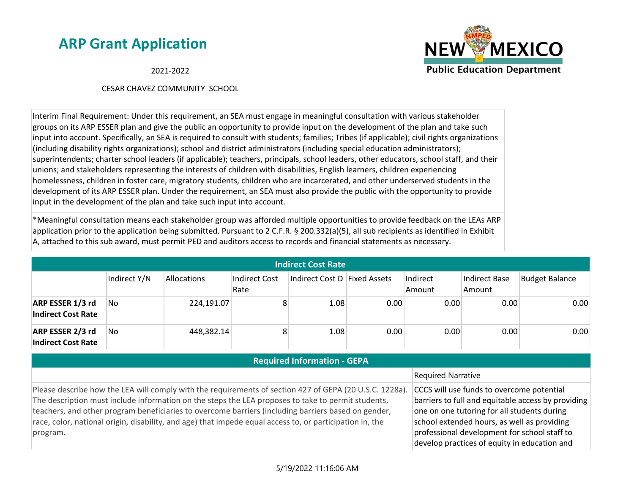**NEW MEXICO Public Education Department** 

2021-2022

#### CESAR CHAVEZ COMMUNITY SCHOOL

Interim Final Requirement: Under this requirement, an SEA must engage in meaningful consultation with various stakeholder groups on its ARP ESSER plan and give the public an opportunity to provide input on the development of the plan and take such input into account. Specifically, an SEA is required to consult with students; families; Tribes (if applicable); civil rights organizations (including disability rights organizations); school and district administrators (including special education administrators); superintendents; charter school leaders (if applicable); teachers, principals, school leaders, other educators, school staff, and their unions; and stakeholders representing the interests of children with disabilities, English learners, children experiencing homelessness, children in foster care, migratory students, children who are incarcerated, and other underserved students in the development of its ARP ESSER plan. Under the requirement, an SEA must also provide the public with the opportunity to provide input in the development of the plan and take such input into account.

\*Meaningful consultation means each stakeholder group was afforded multiple opportunities to provide feedback on the LEAs ARP application prior to the application being submitted. Pursuant to 2 C.F.R. § 200.332(a)(5), all sub recipients as identified in Exhibit A, attached to this sub award, must permit PED and auditors access to records and financial statements as necessary.

| <b>Indirect Cost Rate</b>                     |              |             |                       |                              |      |                    |                         |                       |
|-----------------------------------------------|--------------|-------------|-----------------------|------------------------------|------|--------------------|-------------------------|-----------------------|
|                                               | Indirect Y/N | Allocations | Indirect Cost<br>Rate | Indirect Cost D Fixed Assets |      | Indirect<br>Amount | Indirect Base<br>Amount | <b>Budget Balance</b> |
| ARP ESSER 1/3 rd<br><b>Indirect Cost Rate</b> | No           | 224,191.07  | 8                     | 1.08                         | 0.00 | 0.00               | 0.00                    | 0.00                  |
| ARP ESSER 2/3 rd<br><b>Indirect Cost Rate</b> | No           | 448,382.14  | 8                     | 1.08                         | 0.00 | 0.00               | 0.00                    | 0.00                  |

### **Required Information - GEPA**

#### Required Narrative Please describe how the LEA will comply with the requirements of section 427 of GEPA (20 U.S.C. 1228a). The description must include information on the steps the LEA proposes to take to permit students, teachers, and other program beneficiaries to overcome barriers (including barriers based on gender, race, color, national origin, disability, and age) that impede equal access to, or participation in, the program. CCCS will use funds to overcome potential barriers to full and equitable access by providing one on one tutoring for all students during school extended hours, as well as providing professional development for school staff to develop practices of equity in education and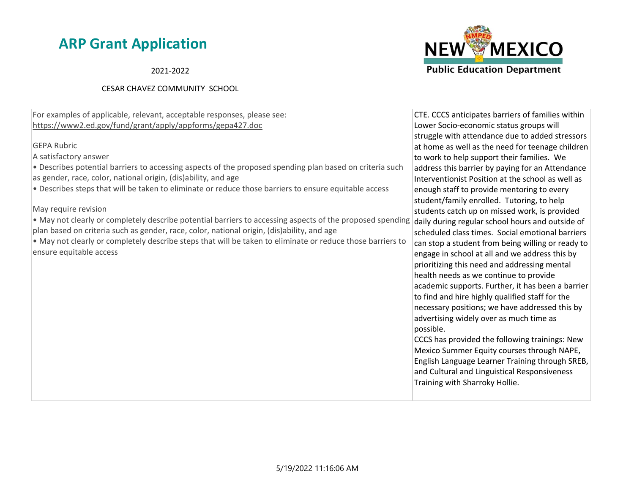2021-2022

### CESAR CHAVEZ COMMUNITY SCHOOL

For examples of applicable, relevant, acceptable responses, please see: https://www2.ed.gov/fund/grant/apply/appforms/gepa427.doc

#### GEPA Rubric

A satisfactory answer

• Describes potential barriers to accessing aspects of the proposed spending plan based on criteria such as gender, race, color, national origin, (dis)ability, and age

• Describes steps that will be taken to eliminate or reduce those barriers to ensure equitable access

May require revision

• May not clearly or completely describe potential barriers to accessing aspects of the proposed spending daily during regular school hours and outside of plan based on criteria such as gender, race, color, national origin, (dis)ability, and age

• May not clearly or completely describe steps that will be taken to eliminate or reduce those barriers to ensure equitable access



CTE. CCCS anticipates barriers of families within Lower Socio-economic status groups will struggle with attendance due to added stressors at home as well as the need for teenage children to work to help support their families. We address this barrier by paying for an Attendance Interventionist Position at the school as well as enough staff to provide mentoring to every student/family enrolled. Tutoring, to help students catch up on missed work, is provided scheduled class times. Social emotional barriers can stop a student from being willing or ready to engage in school at all and we address this by prioritizing this need and addressing mental health needs as we continue to provide academic supports. Further, it has been a barrier to find and hire highly qualified staff for the necessary positions; we have addressed this by advertising widely over as much time as possible.

CCCS has provided the following trainings: New Mexico Summer Equity courses through NAPE, English Language Learner Training through SREB, and Cultural and Linguistical Responsiveness Training with Sharroky Hollie.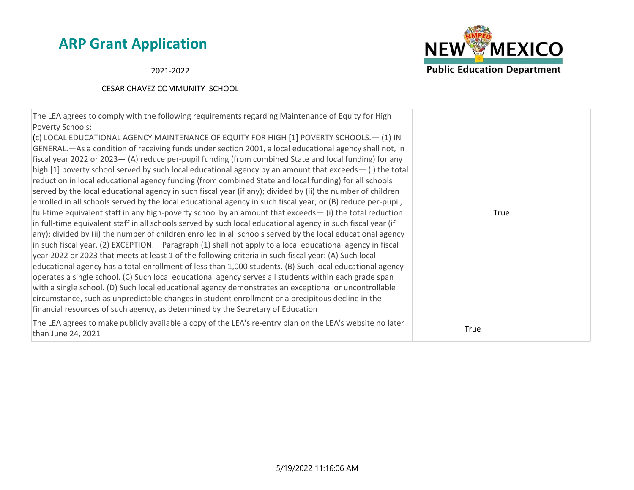2021-2022



| The LEA agrees to comply with the following requirements regarding Maintenance of Equity for High<br>Poverty Schools:<br>(c) LOCAL EDUCATIONAL AGENCY MAINTENANCE OF EQUITY FOR HIGH [1] POVERTY SCHOOLS. - (1) IN<br>GENERAL.—As a condition of receiving funds under section 2001, a local educational agency shall not, in<br>fiscal year 2022 or 2023 - (A) reduce per-pupil funding (from combined State and local funding) for any<br>high [1] poverty school served by such local educational agency by an amount that exceeds— (i) the total<br>reduction in local educational agency funding (from combined State and local funding) for all schools<br>served by the local educational agency in such fiscal year (if any); divided by (ii) the number of children<br>enrolled in all schools served by the local educational agency in such fiscal year; or (B) reduce per-pupil,<br>full-time equivalent staff in any high-poverty school by an amount that exceeds $-$ (i) the total reduction<br>True<br>in full-time equivalent staff in all schools served by such local educational agency in such fiscal year (if<br>any); divided by (ii) the number of children enrolled in all schools served by the local educational agency<br>in such fiscal year. (2) EXCEPTION. — Paragraph (1) shall not apply to a local educational agency in fiscal<br>year 2022 or 2023 that meets at least 1 of the following criteria in such fiscal year: (A) Such local<br>educational agency has a total enrollment of less than 1,000 students. (B) Such local educational agency<br>operates a single school. (C) Such local educational agency serves all students within each grade span<br>with a single school. (D) Such local educational agency demonstrates an exceptional or uncontrollable<br>circumstance, such as unpredictable changes in student enrollment or a precipitous decline in the<br>financial resources of such agency, as determined by the Secretary of Education<br>The LEA agrees to make publicly available a copy of the LEA's re-entry plan on the LEA's website no later<br>True<br>than June 24, 2021 |  |  |
|----------------------------------------------------------------------------------------------------------------------------------------------------------------------------------------------------------------------------------------------------------------------------------------------------------------------------------------------------------------------------------------------------------------------------------------------------------------------------------------------------------------------------------------------------------------------------------------------------------------------------------------------------------------------------------------------------------------------------------------------------------------------------------------------------------------------------------------------------------------------------------------------------------------------------------------------------------------------------------------------------------------------------------------------------------------------------------------------------------------------------------------------------------------------------------------------------------------------------------------------------------------------------------------------------------------------------------------------------------------------------------------------------------------------------------------------------------------------------------------------------------------------------------------------------------------------------------------------------------------------------------------------------------------------------------------------------------------------------------------------------------------------------------------------------------------------------------------------------------------------------------------------------------------------------------------------------------------------------------------------------------------------------------------------------------------------------------------------------------------------------------------------|--|--|
|                                                                                                                                                                                                                                                                                                                                                                                                                                                                                                                                                                                                                                                                                                                                                                                                                                                                                                                                                                                                                                                                                                                                                                                                                                                                                                                                                                                                                                                                                                                                                                                                                                                                                                                                                                                                                                                                                                                                                                                                                                                                                                                                              |  |  |
|                                                                                                                                                                                                                                                                                                                                                                                                                                                                                                                                                                                                                                                                                                                                                                                                                                                                                                                                                                                                                                                                                                                                                                                                                                                                                                                                                                                                                                                                                                                                                                                                                                                                                                                                                                                                                                                                                                                                                                                                                                                                                                                                              |  |  |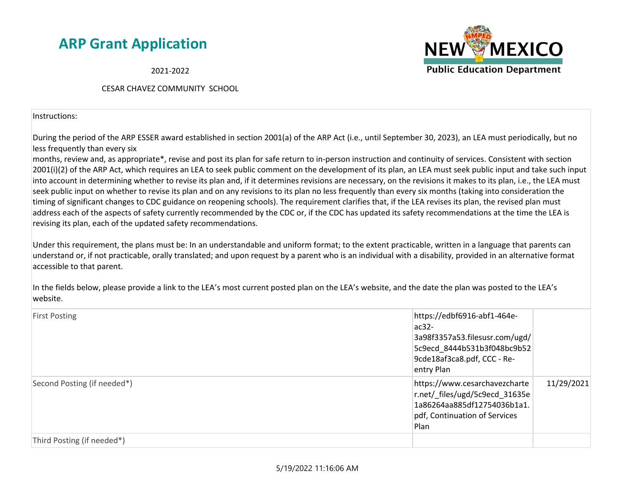2021-2022

#### CESAR CHAVEZ COMMUNITY SCHOOL

Instructions:

During the period of the ARP ESSER award established in section 2001(a) of the ARP Act (i.e., until September 30, 2023), an LEA must periodically, but no less frequently than every six

months, review and, as appropriate\*, revise and post its plan for safe return to in-person instruction and continuity of services. Consistent with section 2001(i)(2) of the ARP Act, which requires an LEA to seek public comment on the development of its plan, an LEA must seek public input and take such input into account in determining whether to revise its plan and, if it determines revisions are necessary, on the revisions it makes to its plan, i.e., the LEA must seek public input on whether to revise its plan and on any revisions to its plan no less frequently than every six months (taking into consideration the timing of significant changes to CDC guidance on reopening schools). The requirement clarifies that, if the LEA revises its plan, the revised plan must address each of the aspects of safety currently recommended by the CDC or, if the CDC has updated its safety recommendations at the time the LEA is revising its plan, each of the updated safety recommendations.

Under this requirement, the plans must be: In an understandable and uniform format; to the extent practicable, written in a language that parents can understand or, if not practicable, orally translated; and upon request by a parent who is an individual with a disability, provided in an alternative format accessible to that parent.

In the fields below, please provide a link to the LEA's most current posted plan on the LEA's website, and the date the plan was posted to the LEA's website.

| <b>First Posting</b>        | https://edbf6916-abf1-464e-<br>$ac32-$<br>3a98f3357a53.filesusr.com/ugd/<br>5c9ecd 8444b531b3f048bc9b52<br>9cde18af3ca8.pdf, CCC - Re-<br>entry Plan |            |
|-----------------------------|------------------------------------------------------------------------------------------------------------------------------------------------------|------------|
| Second Posting (if needed*) | https://www.cesarchavezcharte<br>r.net/_files/ugd/5c9ecd_31635e<br>1a86264aa885df12754036b1a1.<br>pdf, Continuation of Services<br>Plan              | 11/29/2021 |
| Third Posting (if needed*)  |                                                                                                                                                      |            |